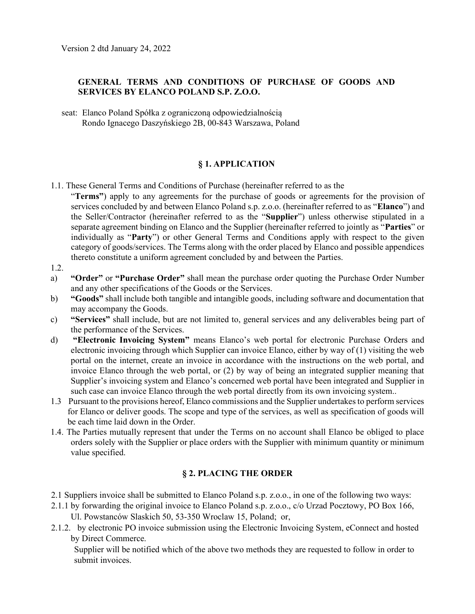## GENERAL TERMS AND CONDITIONS OF PURCHASE OF GOODS AND SERVICES BY ELANCO POLAND S.P. Z.O.O.

seat: Elanco Poland Spółka z ograniczoną odpowiedzialnością Rondo Ignacego Daszyńskiego 2B, 00-843 Warszawa, Poland

## § 1. APPLICATION

1.1. These General Terms and Conditions of Purchase (hereinafter referred to as the

"Terms") apply to any agreements for the purchase of goods or agreements for the provision of services concluded by and between Elanco Poland s.p. z.o.o. (hereinafter referred to as "Elanco") and the Seller/Contractor (hereinafter referred to as the "Supplier") unless otherwise stipulated in a separate agreement binding on Elanco and the Supplier (hereinafter referred to jointly as "**Parties**" or individually as "Party") or other General Terms and Conditions apply with respect to the given category of goods/services. The Terms along with the order placed by Elanco and possible appendices thereto constitute a uniform agreement concluded by and between the Parties.

- 1.2.
- a) "Order" or "Purchase Order" shall mean the purchase order quoting the Purchase Order Number and any other specifications of the Goods or the Services.
- b) "Goods" shall include both tangible and intangible goods, including software and documentation that may accompany the Goods.
- c) "Services" shall include, but are not limited to, general services and any deliverables being part of the performance of the Services.
- d) "Electronic Invoicing System" means Elanco's web portal for electronic Purchase Orders and electronic invoicing through which Supplier can invoice Elanco, either by way of (1) visiting the web portal on the internet, create an invoice in accordance with the instructions on the web portal, and invoice Elanco through the web portal, or (2) by way of being an integrated supplier meaning that Supplier's invoicing system and Elanco's concerned web portal have been integrated and Supplier in such case can invoice Elanco through the web portal directly from its own invoicing system..
- 1.3 Pursuant to the provisions hereof, Elanco commissions and the Supplier undertakes to perform services for Elanco or deliver goods. The scope and type of the services, as well as specification of goods will be each time laid down in the Order.
- 1.4. The Parties mutually represent that under the Terms on no account shall Elanco be obliged to place orders solely with the Supplier or place orders with the Supplier with minimum quantity or minimum value specified.

# § 2. PLACING THE ORDER

- 2.1 Suppliers invoice shall be submitted to Elanco Poland s.p. z.o.o., in one of the following two ways:
- 2.1.1 by forwarding the original invoice to Elanco Poland s.p. z.o.o., c/o Urzad Pocztowy, PO Box 166,
	- Ul. Powstanców Slaskich 50, 53-350 Wroclaw 15, Poland; or,
- 2.1.2. by electronic PO invoice submission using the Electronic Invoicing System, eConnect and hosted by Direct Commerce.

Supplier will be notified which of the above two methods they are requested to follow in order to submit invoices.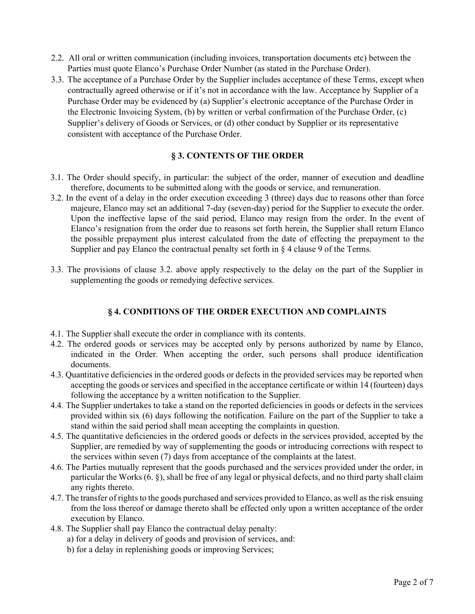- 2.2. All oral or written communication (including invoices, transportation documents etc) between the Parties must quote Elanco's Purchase Order Number (as stated in the Purchase Order).
- 3.3. The acceptance of a Purchase Order by the Supplier includes acceptance of these Terms, except when contractually agreed otherwise or if it's not in accordance with the law. Acceptance by Supplier of a Purchase Order may be evidenced by (a) Supplier's electronic acceptance of the Purchase Order in the Electronic Invoicing System, (b) by written or verbal confirmation of the Purchase Order, (c) Supplier's delivery of Goods or Services, or (d) other conduct by Supplier or its representative consistent with acceptance of the Purchase Order.

## § 3. CONTENTS OF THE ORDER

- 3.1. The Order should specify, in particular: the subject of the order, manner of execution and deadline therefore, documents to be submitted along with the goods or service, and remuneration.
- 3.2. In the event of a delay in the order execution exceeding 3 (three) days due to reasons other than force majeure, Elanco may set an additional 7-day (seven-day) period for the Supplier to execute the order. Upon the ineffective lapse of the said period, Elanco may resign from the order. In the event of Elanco's resignation from the order due to reasons set forth herein, the Supplier shall return Elanco the possible prepayment plus interest calculated from the date of effecting the prepayment to the Supplier and pay Elanco the contractual penalty set forth in § 4 clause 9 of the Terms.
- 3.3. The provisions of clause 3.2. above apply respectively to the delay on the part of the Supplier in supplementing the goods or remedying defective services.

## § 4. CONDITIONS OF THE ORDER EXECUTION AND COMPLAINTS

- 4.1. The Supplier shall execute the order in compliance with its contents.
- 4.2. The ordered goods or services may be accepted only by persons authorized by name by Elanco, indicated in the Order. When accepting the order, such persons shall produce identification documents.
- 4.3. Quantitative deficiencies in the ordered goods or defects in the provided services may be reported when accepting the goods or services and specified in the acceptance certificate or within 14 (fourteen) days following the acceptance by a written notification to the Supplier.
- 4.4. The Supplier undertakes to take a stand on the reported deficiencies in goods or defects in the services provided within six (6) days following the notification. Failure on the part of the Supplier to take a stand within the said period shall mean accepting the complaints in question.
- 4.5. The quantitative deficiencies in the ordered goods or defects in the services provided, accepted by the Supplier, are remedied by way of supplementing the goods or introducing corrections with respect to the services within seven (7) days from acceptance of the complaints at the latest.
- 4.6. The Parties mutually represent that the goods purchased and the services provided under the order, in particular the Works (6. §), shall be free of any legal or physical defects, and no third party shall claim any rights thereto.
- 4.7. The transfer of rights to the goods purchased and services provided to Elanco, as well as the risk ensuing from the loss thereof or damage thereto shall be effected only upon a written acceptance of the order execution by Elanco.
- 4.8. The Supplier shall pay Elanco the contractual delay penalty:
	- a) for a delay in delivery of goods and provision of services, and:
	- b) for a delay in replenishing goods or improving Services;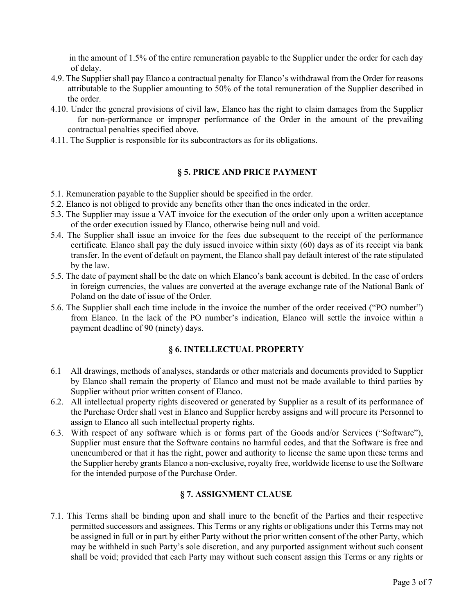in the amount of 1.5% of the entire remuneration payable to the Supplier under the order for each day of delay.

- 4.9. The Supplier shall pay Elanco a contractual penalty for Elanco's withdrawal from the Order for reasons attributable to the Supplier amounting to 50% of the total remuneration of the Supplier described in the order.
- 4.10. Under the general provisions of civil law, Elanco has the right to claim damages from the Supplier for non-performance or improper performance of the Order in the amount of the prevailing contractual penalties specified above.
- 4.11. The Supplier is responsible for its subcontractors as for its obligations.

## § 5. PRICE AND PRICE PAYMENT

- 5.1. Remuneration payable to the Supplier should be specified in the order.
- 5.2. Elanco is not obliged to provide any benefits other than the ones indicated in the order.
- 5.3. The Supplier may issue a VAT invoice for the execution of the order only upon a written acceptance of the order execution issued by Elanco, otherwise being null and void.
- 5.4. The Supplier shall issue an invoice for the fees due subsequent to the receipt of the performance certificate. Elanco shall pay the duly issued invoice within sixty (60) days as of its receipt via bank transfer. In the event of default on payment, the Elanco shall pay default interest of the rate stipulated by the law.
- 5.5. The date of payment shall be the date on which Elanco's bank account is debited. In the case of orders in foreign currencies, the values are converted at the average exchange rate of the National Bank of Poland on the date of issue of the Order.
- 5.6. The Supplier shall each time include in the invoice the number of the order received ("PO number") from Elanco. In the lack of the PO number's indication, Elanco will settle the invoice within a payment deadline of 90 (ninety) days.

# § 6. INTELLECTUAL PROPERTY

- 6.1 All drawings, methods of analyses, standards or other materials and documents provided to Supplier by Elanco shall remain the property of Elanco and must not be made available to third parties by Supplier without prior written consent of Elanco.
- 6.2. All intellectual property rights discovered or generated by Supplier as a result of its performance of the Purchase Order shall vest in Elanco and Supplier hereby assigns and will procure its Personnel to assign to Elanco all such intellectual property rights.
- 6.3. With respect of any software which is or forms part of the Goods and/or Services ("Software"), Supplier must ensure that the Software contains no harmful codes, and that the Software is free and unencumbered or that it has the right, power and authority to license the same upon these terms and the Supplier hereby grants Elanco a non-exclusive, royalty free, worldwide license to use the Software for the intended purpose of the Purchase Order.

# § 7. ASSIGNMENT CLAUSE

7.1. This Terms shall be binding upon and shall inure to the benefit of the Parties and their respective permitted successors and assignees. This Terms or any rights or obligations under this Terms may not be assigned in full or in part by either Party without the prior written consent of the other Party, which may be withheld in such Party's sole discretion, and any purported assignment without such consent shall be void; provided that each Party may without such consent assign this Terms or any rights or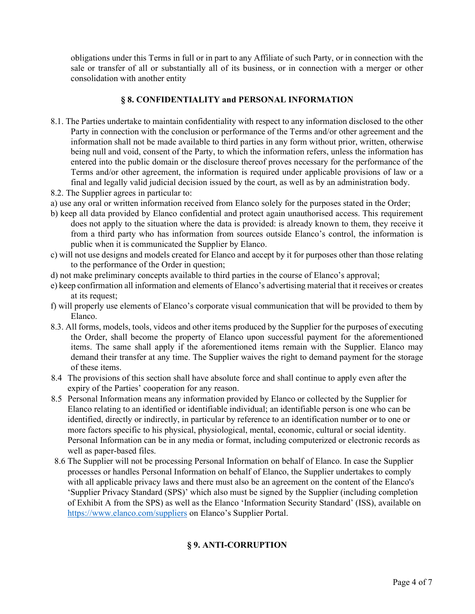obligations under this Terms in full or in part to any Affiliate of such Party, or in connection with the sale or transfer of all or substantially all of its business, or in connection with a merger or other consolidation with another entity

## § 8. CONFIDENTIALITY and PERSONAL INFORMATION

- 8.1. The Parties undertake to maintain confidentiality with respect to any information disclosed to the other Party in connection with the conclusion or performance of the Terms and/or other agreement and the information shall not be made available to third parties in any form without prior, written, otherwise being null and void, consent of the Party, to which the information refers, unless the information has entered into the public domain or the disclosure thereof proves necessary for the performance of the Terms and/or other agreement, the information is required under applicable provisions of law or a final and legally valid judicial decision issued by the court, as well as by an administration body.
- 8.2. The Supplier agrees in particular to:
- a) use any oral or written information received from Elanco solely for the purposes stated in the Order;
- b) keep all data provided by Elanco confidential and protect again unauthorised access. This requirement does not apply to the situation where the data is provided: is already known to them, they receive it from a third party who has information from sources outside Elanco's control, the information is public when it is communicated the Supplier by Elanco.
- c) will not use designs and models created for Elanco and accept by it for purposes other than those relating to the performance of the Order in question;
- d) not make preliminary concepts available to third parties in the course of Elanco's approval;
- e) keep confirmation all information and elements of Elanco's advertising material that it receives or creates at its request;
- f) will properly use elements of Elanco's corporate visual communication that will be provided to them by Elanco.
- 8.3. All forms, models, tools, videos and other items produced by the Supplier for the purposes of executing the Order, shall become the property of Elanco upon successful payment for the aforementioned items. The same shall apply if the aforementioned items remain with the Supplier. Elanco may demand their transfer at any time. The Supplier waives the right to demand payment for the storage of these items.
- 8.4 The provisions of this section shall have absolute force and shall continue to apply even after the expiry of the Parties' cooperation for any reason.
- 8.5 Personal Information means any information provided by Elanco or collected by the Supplier for Elanco relating to an identified or identifiable individual; an identifiable person is one who can be identified, directly or indirectly, in particular by reference to an identification number or to one or more factors specific to his physical, physiological, mental, economic, cultural or social identity. Personal Information can be in any media or format, including computerized or electronic records as well as paper-based files.
- 8.6 The Supplier will not be processing Personal Information on behalf of Elanco. In case the Supplier processes or handles Personal Information on behalf of Elanco, the Supplier undertakes to comply with all applicable privacy laws and there must also be an agreement on the content of the Elanco's 'Supplier Privacy Standard (SPS)' which also must be signed by the Supplier (including completion of Exhibit A from the SPS) as well as the Elanco 'Information Security Standard' (ISS), available on https://www.elanco.com/suppliers on Elanco's Supplier Portal.

#### § 9. ANTI-CORRUPTION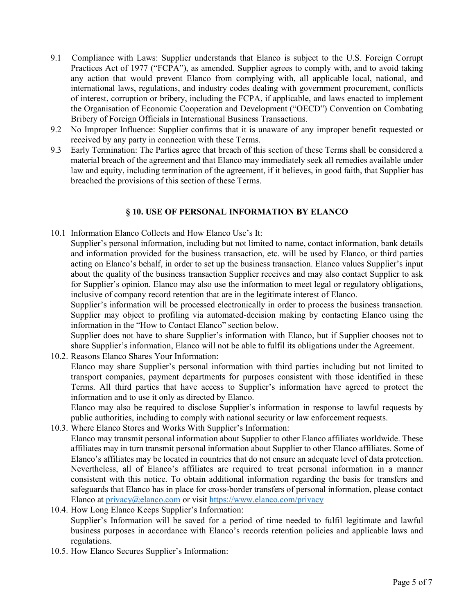- 9.1 Compliance with Laws: Supplier understands that Elanco is subject to the U.S. Foreign Corrupt Practices Act of 1977 ("FCPA"), as amended. Supplier agrees to comply with, and to avoid taking any action that would prevent Elanco from complying with, all applicable local, national, and international laws, regulations, and industry codes dealing with government procurement, conflicts of interest, corruption or bribery, including the FCPA, if applicable, and laws enacted to implement the Organisation of Economic Cooperation and Development ("OECD") Convention on Combating Bribery of Foreign Officials in International Business Transactions.
- 9.2 No Improper Influence: Supplier confirms that it is unaware of any improper benefit requested or received by any party in connection with these Terms.
- 9.3 Early Termination: The Parties agree that breach of this section of these Terms shall be considered a material breach of the agreement and that Elanco may immediately seek all remedies available under law and equity, including termination of the agreement, if it believes, in good faith, that Supplier has breached the provisions of this section of these Terms.

#### § 10. USE OF PERSONAL INFORMATION BY ELANCO

- 10.1 Information Elanco Collects and How Elanco Use's It:
	- Supplier's personal information, including but not limited to name, contact information, bank details and information provided for the business transaction, etc. will be used by Elanco, or third parties acting on Elanco's behalf, in order to set up the business transaction. Elanco values Supplier's input about the quality of the business transaction Supplier receives and may also contact Supplier to ask for Supplier's opinion. Elanco may also use the information to meet legal or regulatory obligations, inclusive of company record retention that are in the legitimate interest of Elanco.

Supplier's information will be processed electronically in order to process the business transaction. Supplier may object to profiling via automated-decision making by contacting Elanco using the information in the "How to Contact Elanco" section below.

Supplier does not have to share Supplier's information with Elanco, but if Supplier chooses not to share Supplier's information, Elanco will not be able to fulfil its obligations under the Agreement.

10.2. Reasons Elanco Shares Your Information:

Elanco may share Supplier's personal information with third parties including but not limited to transport companies, payment departments for purposes consistent with those identified in these Terms. All third parties that have access to Supplier's information have agreed to protect the information and to use it only as directed by Elanco.

Elanco may also be required to disclose Supplier's information in response to lawful requests by public authorities, including to comply with national security or law enforcement requests.

- 10.3. Where Elanco Stores and Works With Supplier's Information: Elanco may transmit personal information about Supplier to other Elanco affiliates worldwide. These affiliates may in turn transmit personal information about Supplier to other Elanco affiliates. Some of Elanco's affiliates may be located in countries that do not ensure an adequate level of data protection. Nevertheless, all of Elanco's affiliates are required to treat personal information in a manner consistent with this notice. To obtain additional information regarding the basis for transfers and safeguards that Elanco has in place for cross-border transfers of personal information, please contact Elanco at privacy@elanco.com or visit https://www.elanco.com/privacy
- 10.4. How Long Elanco Keeps Supplier's Information: Supplier's Information will be saved for a period of time needed to fulfil legitimate and lawful business purposes in accordance with Elanco's records retention policies and applicable laws and regulations.
- 10.5. How Elanco Secures Supplier's Information: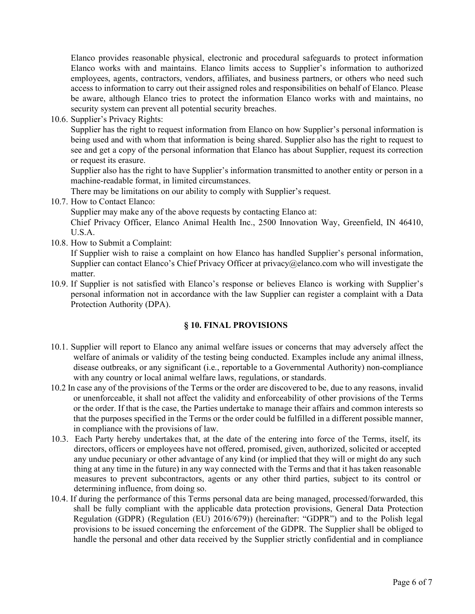Elanco provides reasonable physical, electronic and procedural safeguards to protect information Elanco works with and maintains. Elanco limits access to Supplier's information to authorized employees, agents, contractors, vendors, affiliates, and business partners, or others who need such access to information to carry out their assigned roles and responsibilities on behalf of Elanco. Please be aware, although Elanco tries to protect the information Elanco works with and maintains, no security system can prevent all potential security breaches.

10.6. Supplier's Privacy Rights:

Supplier has the right to request information from Elanco on how Supplier's personal information is being used and with whom that information is being shared. Supplier also has the right to request to see and get a copy of the personal information that Elanco has about Supplier, request its correction or request its erasure.

Supplier also has the right to have Supplier's information transmitted to another entity or person in a machine-readable format, in limited circumstances.

There may be limitations on our ability to comply with Supplier's request.

10.7. How to Contact Elanco:

Supplier may make any of the above requests by contacting Elanco at:

Chief Privacy Officer, Elanco Animal Health Inc., 2500 Innovation Way, Greenfield, IN 46410, U.S.A.

10.8. How to Submit a Complaint:

If Supplier wish to raise a complaint on how Elanco has handled Supplier's personal information, Supplier can contact Elanco's Chief Privacy Officer at privacy@elanco.com who will investigate the matter.

10.9. If Supplier is not satisfied with Elanco's response or believes Elanco is working with Supplier's personal information not in accordance with the law Supplier can register a complaint with a Data Protection Authority (DPA).

#### § 10. FINAL PROVISIONS

- 10.1. Supplier will report to Elanco any animal welfare issues or concerns that may adversely affect the welfare of animals or validity of the testing being conducted. Examples include any animal illness, disease outbreaks, or any significant (i.e., reportable to a Governmental Authority) non-compliance with any country or local animal welfare laws, regulations, or standards.
- 10.2 In case any of the provisions of the Terms or the order are discovered to be, due to any reasons, invalid or unenforceable, it shall not affect the validity and enforceability of other provisions of the Terms or the order. If that is the case, the Parties undertake to manage their affairs and common interests so that the purposes specified in the Terms or the order could be fulfilled in a different possible manner, in compliance with the provisions of law.
- 10.3. Each Party hereby undertakes that, at the date of the entering into force of the Terms, itself, its directors, officers or employees have not offered, promised, given, authorized, solicited or accepted any undue pecuniary or other advantage of any kind (or implied that they will or might do any such thing at any time in the future) in any way connected with the Terms and that it has taken reasonable measures to prevent subcontractors, agents or any other third parties, subject to its control or determining influence, from doing so.
- 10.4. If during the performance of this Terms personal data are being managed, processed/forwarded, this shall be fully compliant with the applicable data protection provisions, General Data Protection Regulation (GDPR) (Regulation (EU) 2016/679)) (hereinafter: "GDPR") and to the Polish legal provisions to be issued concerning the enforcement of the GDPR. The Supplier shall be obliged to handle the personal and other data received by the Supplier strictly confidential and in compliance